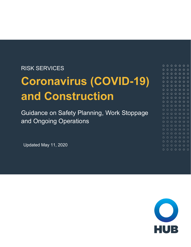### RISK SERVICES

# **Coronavirus (COVID-19) and Construction**

Guidance on Safety Planning, Work Stoppage and Ongoing Operations

<span id="page-0-0"></span>Updated [May 11, 2020](#page-0-0)

 $0000000$  $0000000$  $0000000$  $\begin{array}{ccccccccccccc} \circ & \circ & \circ & \circ & \circ & \circ & \circ \end{array}$  $O$   $O$   $O$ 

 $O$   $O$   $O$ 

 $0000000$  $0000000$  $0 0 0 0 0 0 0$  $0000000$  $000000$ 

 $0 0 0 0 0 0 0$  $0 0 0 0 0 0 0$  $0000000$ 

 $0000000$ 

 $O$   $O$ 

 $O$   $O$ 

 $O$   $O$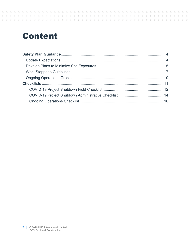#### ${\color{red} 0} {\color{red} 0} {\color{red} 0} {\color{red} 0} {\color{red} 0} {\color{red} 0} {\color{red} 0} {\color{red} 0} {\color{red} 0} {\color{red} 0} {\color{red} 0} {\color{red} 0} {\color{red} 0} {\color{red} 0} {\color{red} 0} {\color{red} 0} {\color{red} 0} {\color{red} 0} {\color{red} 0} {\color{red} 0} {\color{red} 0} {\color{red} 0} {\color{red} 0} {\color{red} 0} {\color{red} 0} {\color{red} 0} {\color{red} 0} {\color{red$

## **Content**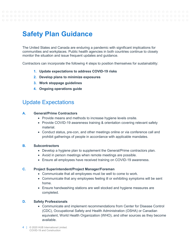

### <span id="page-2-0"></span>**Safety Plan Guidance**

The United States and Canada are enduring a pandemic with significant implications for communities and workplaces. Public health agencies in both countries continue to closely monitor the situation and issue frequent updates and guidance.

Contractors can incorporate the following 4 steps to position themselves for sustainability:

- **1. Update expectations to address COVID-19 risks**
- **2. Develop plans to minimize exposures**
- **3. Work stoppage guidelines**
- **4. Ongoing operations guide**

### <span id="page-2-1"></span>Update Expectations

#### **A. General/Prime Contractors**

- Provide means and methods to increase hygiene levels onsite.
- Provide COVID-19 awareness training & orientation covering relevant safety material.
- Conduct status, pre-con, and other meetings online or via conference call and prohibit gatherings of people in accordance with applicable mandates.

#### **B. Subcontractors**

- Develop a hygiene plan to supplement the General/Prime contractors plan.
- Avoid in person meetings when remote meetings are possible.
- Ensure all employees have received training on COVID-19 awareness.

#### **C. Project Superintendent/Project Manager/Foreman**

- Communicate that all employees must be well to come to work.
- Communicate that any employees feeling ill or exhibiting symptoms will be sent home.
- Ensure handwashing stations are well stocked and hygiene measures are completed.

#### **D. Safety Professionals**

- Communicate and implement recommendations from Center for Disease Control (CDC), Occupational Safety and Health Administration (OSHA) or Canadian equivalent, World Health Organization (WHO), and other sources as they become available.
- 4 | © 2020 HUB International Limited. COVID-19 and Construction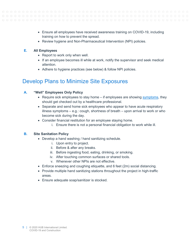- Ensure all employees have received awareness training on COVID-19, including training on how to prevent the spread.
- Review hygiene and Non-Pharmaceutical Intervention (NPI) policies.

#### **E. All Employees**

- Report to work only when well.
- If an employee becomes ill while at work, notify the supervisor and seek medical attention.
- Adhere to hygiene practices (see below) & follow NPI policies.

### <span id="page-3-0"></span>Develop Plans to Minimize Site Exposures

#### **A. "Well" Employees Only Policy**

- Require sick employees to stay home if employees are showing [symptoms,](https://www.cdc.gov/coronavirus/2019-ncov/symptoms-testing/symptoms.html) they should get checked out by a healthcare professional.
- Separate and send home sick employees who appear to have acute respiratory illness symptoms – e.g.: cough, shortness of breath – upon arrival to work or who become sick during the day.
- Consider financial restitution for an employee staying home.
	- i. Ensure there is not a personal financial obligation to work while ill.

#### **B. Site Sanitation Policy**

- Develop a hand washing / hand sanitizing schedule.
	- i. Upon entry to project.
	- ii. Before & after any breaks.
	- iii. Before ingesting food, eating, drinking, or smoking.
	- iv. After touching common surfaces or shared tools.
	- v. Whenever other NPIs are not effective.
- Enforce sneezing and coughing etiquette, and 6 feet (2m) social distancing.
- Provide multiple hand sanitizing stations throughout the project in high-traffic areas.
- Ensure adequate soap/sanitizer is stocked.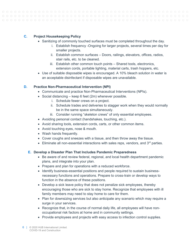#### **C. Project Housekeeping Policy**

- Sanitizing of commonly touched surfaces must be completed throughout the day.
	- i. Establish frequency -Ongoing for larger projects, several times per day for smaller projects.
	- ii. Establish common surfaces Doors, railings, elevators, offices, radios, stair rails, etc. to be cleaned.
	- iii. Establish other common touch points Shared tools, electronics, extension cords, portable lighting, material carts, trash hoppers, etc.
- Use of suitable disposable wipes is encouraged. A 10% bleach solution in water is an acceptable disinfectant if disposable wipes are unavailable.

#### **D. Practice Non-Pharmaceutical Intervention (NPI)**

- Communicate and practice Non-Pharmaceutical Interventions (NPIs).
- Social distancing keep 6 feet (2m) whenever possible.
	- i. Schedule fewer crews on a project.
	- ii. Schedule trades and deliveries to stagger work when they would normally be in the same space simultaneously.
	- iii. Consider running "skeleton crews" of only essential employees.
- Avoiding personal contact (handshakes, touching, etc.).
- Avoid sharing tools, extension cords, carts, or other common items.
- Avoid touching eyes, nose & mouth.
- Wash hands frequently.
- Cover coughs and sneezes with a tissue, and then throw away the tissue.
- Eliminate all non-essential interactions with sales reps, vendors, and  $3<sup>rd</sup>$  parties.

#### **E. Develop a Disaster Plan That Includes Pandemic Preparedness**

- Be aware of and review federal, regional, and local health department pandemic plans, and integrate into your plan.
- Prepare and plan for operations with a reduced workforce.
- Identify business-essential positions and people required to sustain businessnecessary functions and operations. Prepare to cross-train or develop ways to function in the absence of these positions.
- Develop a sick leave policy that does not penalize sick employees, thereby encouraging those who are sick to stay home. Recognize that employees with ill family members may need to stay home to care for them.
- Plan for downsizing services but also anticipate any scenario which may require a surge in your services.
- Recognize that, in the course of normal daily life, all employees will have nonoccupational risk factors at home and in community settings.
- Provide employees and projects with easy access to infection control supplies.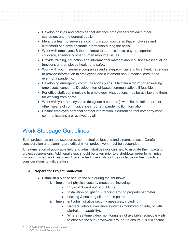- Develop policies and practices that distance employees from each other, customers and the general public.
- Identify a team to serve as a communication source so that employees and customers can have accurate information during the crisis.
- Work with employees & their union(s) to address leave, pay, transportation, childcare, absence & other human resource issues.
- Provide training, education and informational material about business-essential job functions and employee health and safety.
- Work with your insurance companies and state/provincial and local health agencies to provide information to employees and customers about medical care in the event of a pandemic.
- Developing emergency communications plans. Maintain a forum for answering employees' concerns. Develop internet-based communications if feasible.
- For office staff, communicate to employees what options may be available to them for working from home.
- Work with your employees to designate a person(s), website, bulletin board, or other means of communicating important pandemic flu information.
- Ensure employee personal contact information is current so that company-wide communications are received by all.

### <span id="page-5-0"></span>Work Stoppage Guidelines

Each project has unique exposures, contractual obligations and circumstances. Careful consideration and planning are critical when project work must be suspended.

An examination of applicable field and administrative risks can help to mitigate the impacts of project suspensions. Additional steps should be taken prior to a shutdown order to minimize disruption when work resumes. The attached checklists include guidance on best practice considerations to mitigate loss.

### **A. Prepare for Project Shutdown**

- Establish a plan to secure the site during the shutdown.
	- i. Implement physical security measures, including:
		- Physical "board up" of buildings.
		- Installation of lighting & fencing around property perimeter.
		- Locking & securing all entrance points.
	- ii. Implement administrative security measures, including:
		- Camera/video surveillance systems (monitored off-site, or with alert/alarm capability).
		- Where real-time video monitoring is not available, schedule visits to observe the site (drive/walk around) to ensure it is still secure.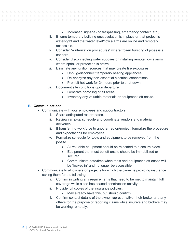- Increased signage (no trespassing, emergency contact, etc.).
- iii. Ensure temporary building encapsulation is in place or that project is water-tight and that water level/flow alarms are online and remotely accessible.
- iv. Consider "winterization procedures" where frozen bursting of pipes is a concern.
- v. Consider disconnecting water supplies or installing remote flow alarms where sprinkler protection is active.
- vi. Eliminate any ignition sources that may create fire exposures:
	- Unplug/disconnect temporary heating appliances.
	- De-energize any non-essential electrical connections.
	- Prohibit hot work for 24 hours prior to shut-down.
- vii. Document site conditions upon departure:
	- Generate photo log of all areas.
	- Inventory any valuable materials or equipment left onsite.

#### **B. Communications**

- Communicate with your employees and subcontractors:
	- i. Share anticipated restart dates.
	- ii. Review ramp-up schedule and coordinate vendors and material deliveries.
	- iii. If transferring workforce to another region/project, formalize the procedure and expectations for employees.
	- iv. Formalize schedule for tools and equipment to be removed from the jobsite.
		- All valuable equipment should be relocated to a secure place.
		- Equipment that must be left onsite should be immobilized or secured.
		- Communicate date/time when tools and equipment left onsite will be "locked in" and no longer be accessible.
- Communicate to all owners on projects for which the owner is providing insurance asking them for the following:
	- i. Confirm in writing any requirements that need to be met to maintain full coverage while a site has ceased construction activity.
	- ii. Provide full copies of the insurance policies.
		- May already have this, but should confirm.
	- i. Confirm contact details of the owner representative, their broker and any others for the purpose of reporting claims while insurers and brokers may be working remotely.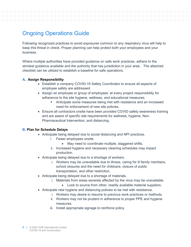### <span id="page-7-0"></span>Ongoing Operations Guide

Following recognized practices to avoid exposures common to any respiratory virus will help to keep this threat in check. Proper planning can help protect both your employees and your business.

Where multiple authorities have provided guidance on safe work practices, adhere to the strictest guidance available and the authority that has jurisdiction in your area. The attached checklist can be utilized to establish a baseline for safe operations.

#### **A. Assign Responsibility**

- Establish a company COVID-19 Safety Coordinator to ensure all aspects of employee safety are addressed.
- Assign an employee or group of employees' at every project responsibility for adherence to the site hygiene, wellness, and educational measures.
	- Anticipate some measures being met with resistance and an increased need for enforcement of new site policies.
- Ensure all contractors onsite have been provided COVID safety awareness training and are aware of specific site requirements for wellness, hygiene, Non-Pharmaceutical Intervention, and distancing.

#### **B. Plan for Schedule Delays**

- Anticipate being delayed due to social distancing and NPI practices.
	- i. Fewer employees onsite.
		- May need to coordinate multiple, staggered shifts.
	- ii. Increased hygiene and necessary cleaning schedules may impact production.
- Anticipate being delayed due to a shortage of workers.
	- i. Workers may be unavailable due to illness, caring for ill family members, school closures and the need for childcare, closure of public transportation, and other restriction.
- Anticipate being delayed due to a shortage of materials.
	- i. Materials from areas severely affected by the virus may be unavailable.
		- Look to source from other, readily available material suppliers.
- Anticipate new hygiene and distancing policies to be met with resistance.
	- i. Workers may desire to resume to previous work practices or methods.
	- ii. Workers may not be prudent in adherence to proper PPE and hygiene measures.
	- iii. Install appropriate signage to reinforce policy.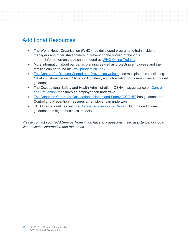### Additional Resources

- The World Heath Organization (WHO) has developed programs to train incident managers and other stakeholders in preventing the spread of the virus.
	- o Information on these can be found at: WHO [Online Training.](https://www.who.int/emergencies/diseases/novel-coronavirus-2019/training/online-training)
- More information about pandemic planning as well as protecting employees and their families can be found at: [www.pandemicflu.gov.](http://www.pandemicflu.gov/)
- [The Centers for Disease Control and Prevention website](https://www.cdc.gov/coronavirus/2019-ncov/index.html) has multiple topics, including "what you should know", "Situation Updates", and information for communities and travel guidance.
- The Occupational Safety and Health Administration (OSHA) has guidance on Control [and Prevention](https://www.osha.gov/SLTC/covid-19/controlprevention.html) measures an employer can undertake.
- [The Canadian Centre for Occupational Health and Safety \(CCOHS\)](https://www.ccohs.ca/topics/hazards/health/pandemics) has guidance on Control and Prevention measures an employer can undertake.
- HUB International has setup a [Coronavirus Resource Center](https://www.hubinternational.com/products/risk-services/hub-crisis-resources/coronavirus-resource-center/) which has additional guidance to mitigate business impacts.

*Please contact your HUB Service Team if you have any questions, need assistance, or would like additional information and resources.*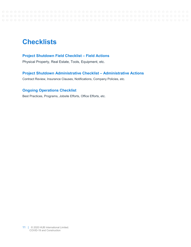#### ${\color{red} 0} {\color{red} 0} {\color{red} 0} {\color{red} 0} {\color{red} 0} {\color{red} 0} {\color{red} 0} {\color{red} 0} {\color{red} 0} {\color{red} 0} {\color{red} 0} {\color{red} 0} {\color{red} 0} {\color{red} 0} {\color{red} 0} {\color{red} 0} {\color{red} 0} {\color{red} 0} {\color{red} 0} {\color{red} 0} {\color{red} 0} {\color{red} 0} {\color{red} 0} {\color{red} 0} {\color{red} 0} {\color{red} 0} {\color{red} 0} {\color{red$

### <span id="page-9-0"></span>**Checklists**

#### **Project Shutdown Field Checklist – Field Actions**

Physical Property, Real Estate, Tools, Equipment, etc.

#### **Project Shutdown Administrative Checklist – Administrative Actions**

Contract Review, Insurance Clauses, Notifications, Company Policies, etc.

### **Ongoing Operations Checklist**

Best Practices, Programs, Jobsite Efforts, Office Efforts, etc.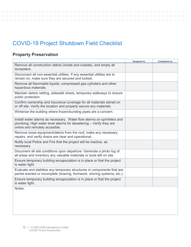#### $O$   $O$  $\circlearrowright$

### <span id="page-10-0"></span>COVID-19 Project Shutdown Field Checklist

### **Property Preservation**

|                                                                                                                                                                                | <b>Assigned to</b> | <b>Completed on</b> |
|--------------------------------------------------------------------------------------------------------------------------------------------------------------------------------|--------------------|---------------------|
| Remove all construction debris (inside and outside), and empty all<br>dumpsters.                                                                                               |                    |                     |
| Disconnect all non-essential utilities. If any essential utilities are to<br>remain on, make sure they are secured and locked.                                                 |                    |                     |
| Remove all flammable liquids, compressed gas cylinders and other<br>hazardous materials.                                                                                       |                    |                     |
| Maintain debris netting, sidewalk sheds, temporary walkways to ensure<br>public protection.                                                                                    |                    |                     |
| Confirm ownership and insurance coverage for all materials stored on<br>or off site. Verify the location and properly secure any materials.                                    |                    |                     |
| Winterize the building where frozen/bursting pipes are a concern.                                                                                                              |                    |                     |
| Install water alarms as necessary. Water flow alarms on sprinklers and<br>plumbing; High water level alarms for dewatering - Verify they are<br>online and remotely accesible. |                    |                     |
| Remove loose equipment/debris from the roof, make any necessary<br>repairs, and verify drains are clear and operational.                                                       |                    |                     |
| Notify local Police and Fire that the project will be inactive, as<br>necessary.                                                                                               |                    |                     |
| Document all site conditions upon departure. Generate a photo log of<br>all areas and inventory any valuable materials or tools left on site.                                  |                    |                     |
| Ensure temporary building encapsulation is in place or that the project<br>is water tight.                                                                                     |                    |                     |
| Evaluate and stabilize any temporary structures or components that are<br>partial erected or incomplete (bracing, formwork, shoring systems, etc.).                            |                    |                     |
| Ensure temporary building encapsulation is in place or that the project<br>is water tight.                                                                                     |                    |                     |
| Notes:                                                                                                                                                                         |                    |                     |
|                                                                                                                                                                                |                    |                     |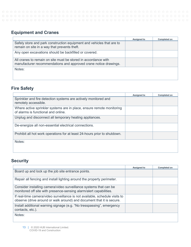### **Equipment and Cranes**

|                                                                                                                                    | <b>Assigned to</b> | <b>Completed on</b> |
|------------------------------------------------------------------------------------------------------------------------------------|--------------------|---------------------|
| Safely store and park construction equipment and vehicles that are to<br>remain on site in a way that prevents theft.              |                    |                     |
| Any open excavations should be backfilled or covered.                                                                              |                    |                     |
| All cranes to remain on site must be stored in accordance with<br>manufacturer recommendations and approved crane notice drawings. |                    |                     |
| Notes:                                                                                                                             |                    |                     |

### **Fire Safety**

|                                                                                                              | <b>Assigned to</b> | <b>Completed on</b> |
|--------------------------------------------------------------------------------------------------------------|--------------------|---------------------|
| Sprinkler and fire detection systems are actively monitored and<br>remotely accessible.                      |                    |                     |
| Where active sprinkler systems are in place, ensure remote monitoring<br>of alarms is functional and online. |                    |                     |
| Unplug and disconnect all temporary heating appliances.                                                      |                    |                     |
| De-energize all non-essential electrical connections.                                                        |                    |                     |
| Prohibit all hot work operations for at least 24-hours prior to shutdown.                                    |                    |                     |
| Notes:                                                                                                       |                    |                     |

### **Security**

|                                                                                                                                                      | <b>Assigned to</b> | <b>Completed on</b> |
|------------------------------------------------------------------------------------------------------------------------------------------------------|--------------------|---------------------|
| Board up and lock up the job site entrance points.                                                                                                   |                    |                     |
| Repair all fencing and install lighting around the property perimeter.                                                                               |                    |                     |
| Consider installing camera/video surveillance systems that can be<br>monitored off site with presence-sensing alarm/alert capabilities.              |                    |                     |
| If real-time camera/video surveillance is not available, schedule visits to<br>observe (drive around or walk around) and document that it is secure. |                    |                     |
| Install additional warning signage (e.g. "No tresspassing", emergency<br>contacts, etc.).                                                            |                    |                     |
| Notes:                                                                                                                                               |                    |                     |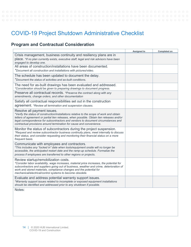### <span id="page-12-0"></span>COVID-19 Project Shutdown Administrative Checklist

### **Program and Contractual Consideration**

|                                                                                                                                                                                                                                                                                                                                                                                    | Assigned to | <b>Completed on</b> |
|------------------------------------------------------------------------------------------------------------------------------------------------------------------------------------------------------------------------------------------------------------------------------------------------------------------------------------------------------------------------------------|-------------|---------------------|
| Crisis management, business continuity and resiliency plans are in<br>place. *If no plan currently exists, executive staff, legal and risk advisors have been<br>engaged to develop one.                                                                                                                                                                                           |             |                     |
| All areas of construction/installations have been documented.<br>*Document all construction and installations with pictures/video.                                                                                                                                                                                                                                                 |             |                     |
| The schedule has been updated to document the delay.<br>*Document the status of activities and as-built conditions.                                                                                                                                                                                                                                                                |             |                     |
| The need for as-built drawings has been evaluated and addressed.<br>*Consideration should be given to preparing drawings to document progress.                                                                                                                                                                                                                                     |             |                     |
| Preserve all contractual records. *Preserve the contract along with any<br>amendments, change orders, and other documentation                                                                                                                                                                                                                                                      |             |                     |
| Satisfy all contractual responsibilities set out in the construction<br>agreement. *Review all termination and suspension clauses.                                                                                                                                                                                                                                                 |             |                     |
| Resolve all payment issues.<br>*Verify the status of construction/installations relative to the scope of work and obtain<br>letters of agreement or partial lien releases, when possible. Obtain lien releases and/or<br>legal correspondence for subcontractors and vendors to document circumstances and<br>contractual provisions around termination for cause and convenience. |             |                     |
| Monitor the status of subcontractors during the project suspension.<br>*Request and review subcontractor business continuity plans, meet internally to discuss<br>their status, and consider requesting and monitoring their financial status on a more<br>frequent basis.                                                                                                         |             |                     |
| Communicate with employees and contractors.<br>*This includes any "locked in" date when tools/equipment onsite will no longer be<br>accessible, the anticipated restart date and the ramp-up schedule. Formalize the<br>process if employees are transferred to other regions or projects.                                                                                         |             |                     |
| Review startup/remobilization costs.<br>*Consider labor availability, wage increases, material price increases, the potential for<br>subcontractors and suppliers going out of business, weather and crime, deterioration of<br>work and stored materials, compliance changes and the potential for<br>mechanical/electrical/control systems to become obsolete.                   |             |                     |
| Evaluate and address potential warranty support issues.<br>*Warranty support issues related to incomplete or exposed equipment installations<br>should be identified and addressed prior to any shutdown if possible.                                                                                                                                                              |             |                     |
| Notes:                                                                                                                                                                                                                                                                                                                                                                             |             |                     |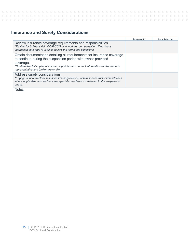### **Insurance and Surety Considerations**

|                                                                                                                                                                                                                                                                                          | <b>Assigned to</b> | Completed on |
|------------------------------------------------------------------------------------------------------------------------------------------------------------------------------------------------------------------------------------------------------------------------------------------|--------------------|--------------|
| Review insurance coverage requirements and responsibilities.<br>*Review for builder's risk, OCIP/CCIP and workers' compensation. If business<br>interuption coverage is in place review the terms and conditions.                                                                        |                    |              |
| Obtain documentation detailing all requirements for insurance coverage<br>to continue during the suspension period with owner-provided<br>coverage.<br>*Confirm that full copies of insurance policies and contact information for the owner's<br>representative and broker are on file. |                    |              |
| Address surety considerations.<br>*Engage subcontractors in suspension negotiations, obtain subcontractor lien releases<br>where applicable, and address any special considerations relevant to the suspension<br>phase.                                                                 |                    |              |
| Notes:                                                                                                                                                                                                                                                                                   |                    |              |
|                                                                                                                                                                                                                                                                                          |                    |              |
|                                                                                                                                                                                                                                                                                          |                    |              |
|                                                                                                                                                                                                                                                                                          |                    |              |
|                                                                                                                                                                                                                                                                                          |                    |              |
|                                                                                                                                                                                                                                                                                          |                    |              |
|                                                                                                                                                                                                                                                                                          |                    |              |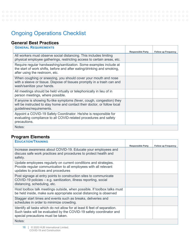$O$   $O$  $\circ$ 

### <span id="page-14-0"></span>Ongoing Operations Checklist

### **General Best Practices**

| <b>GENERAL REQUIREMENTS</b>                                                                                                                                                     |                          |                            |
|---------------------------------------------------------------------------------------------------------------------------------------------------------------------------------|--------------------------|----------------------------|
|                                                                                                                                                                                 | <b>Responsible Party</b> | <b>Follow up Frequency</b> |
| All workers must observe social distancing. This includes limiting<br>physical employee gatherings, restricting access to certain areas, etc.                                   |                          |                            |
| Require regular handwashing/sanitization. Some examples include at<br>the start of work shifts, before and after eating/drinking and smoking,<br>after using the restroom, etc. |                          |                            |
| When coughing or sneezing, you should cover your mouth and nose<br>with a sleeve or tissue. Dispose of tissues promptly in a trash can and<br>wash/sanitize your hands.         |                          |                            |
| All meetings should be held virtually or telephonically in lieu of in<br>person meetings, where possible.                                                                       |                          |                            |
| If anyone is showing flu-like symptoms (fever, cough, congestion) they<br>will be instructed to stay home and contact their doctor, or follow local<br>guidelines/requirements. |                          |                            |
| Appoint a COVID-19 Safety Coordinator. He/she is responsible for<br>evaluating compliance to all COVID-related procedures and safety<br>precautions.                            |                          |                            |
| Notes:                                                                                                                                                                          |                          |                            |

### **Program Elements**

| <b>EDUCATION/TRAINING</b>                                                                                                                                                             |                          |                            |
|---------------------------------------------------------------------------------------------------------------------------------------------------------------------------------------|--------------------------|----------------------------|
|                                                                                                                                                                                       | <b>Responsible Party</b> | <b>Follow up Frequency</b> |
| Increase awareness about COVID-19. Educate your employees and<br>discuss safe work practices and procedures to protect health and<br>safety.                                          |                          |                            |
| Update employees regularly on current conditions and strategies.<br>Provide regular communication to all employees with all relevant<br>updates to practices and procedures           |                          |                            |
| Post signage at entry points to construction sites to communicate<br>COVID-19 policies – e.g. sanitization, illness reporting, social<br>distancing, scheduling, etc.                 |                          |                            |
| Host toolbox talk meetings outside, when possible. If toolbox talks must<br>be held inside, make sure appropriate social distancing is observed                                       |                          |                            |
| Stagger start times and events such as breaks, deliveries and<br>schedules in order to minimize crowding.                                                                             |                          |                            |
| Identify all tasks which do not allow for at least 6 feet of separation.<br>Such tasks will be evaluated by the COVID-19 safety coordinator and<br>special precautions must be taken. |                          |                            |
| Notes:                                                                                                                                                                                |                          |                            |

۰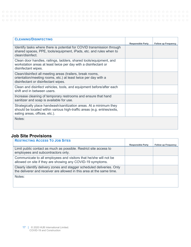| <b>CLEANING/DISINFECTING</b>                                                                                                                                                    |                          |                            |
|---------------------------------------------------------------------------------------------------------------------------------------------------------------------------------|--------------------------|----------------------------|
|                                                                                                                                                                                 | <b>Responsible Party</b> | <b>Follow up Frequency</b> |
| Identify tasks where there is potential for COVID transmission through<br>shared spaces, PPE, tools/equipment, iPads, etc. and rules when to<br>clean/disinfect.                |                          |                            |
| Clean door handles, railings, ladders, shared tools/equipment, and<br>workstation areas at least twice per day with a disinfectant or<br>disinfectant wipes.                    |                          |                            |
| Clean/disinfect all meeting areas (trailers, break rooms,<br>orientation/meeting rooms, etc.) at least twice per day with a<br>disinfectant or disinfectant wipes.              |                          |                            |
| Clean and disinfect vehicles, tools, and equipment before/after each<br>shift and in between users.                                                                             |                          |                            |
| Increase cleaning of temporary restrooms and ensure that hand<br>sanitizer and soap is available for use.                                                                       |                          |                            |
| Strategically place handwash/sanitization areas. At a minimum they<br>should be located within various high-traffic areas (e.g. entries/exits,<br>eating areas, offices, etc.). |                          |                            |
| Notes:                                                                                                                                                                          |                          |                            |

### **Job Site Provisions**

| <b>RESTRICTING ACCESS TO JOB SITES</b>                                                                                                          |                          |                            |
|-------------------------------------------------------------------------------------------------------------------------------------------------|--------------------------|----------------------------|
|                                                                                                                                                 | <b>Responsible Party</b> | <b>Follow up Frequency</b> |
| Limit public contact as much as possible. Restrict site access to<br>employees and subcontractors only.                                         |                          |                            |
| Communicate to all employees and visitors that he/she will not be<br>allowed on site if they are showing any COVID-19 symptoms.                 |                          |                            |
| Clearly identify delivery zones and stagger scheduled deliveries. Only<br>the deliverer and receiver are allowed in this area at the same time. |                          |                            |
| Notes:                                                                                                                                          |                          |                            |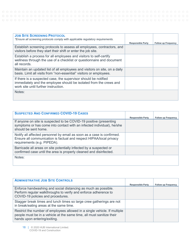| <b>JOB SITE SCREENING PROTOCOL</b><br>*Ensure all screening protocols comply with applicable regulatory requirements.                                                         |                          |                            |
|-------------------------------------------------------------------------------------------------------------------------------------------------------------------------------|--------------------------|----------------------------|
|                                                                                                                                                                               | <b>Responsible Party</b> | <b>Follow up Frequency</b> |
| Establish screening protocols to assess all employees, contractors, and<br>visitors before they start their shift or enter the job site.                                      |                          |                            |
| Establish a process for all employees and visitors to self-certify<br>wellness through the use of a checklist or questionnaire and document<br>all records.                   |                          |                            |
| Maintain an updated list of all employees and visitors on site, on a daily<br>basis. Limit all visits from "non-essential" visitors or employees.                             |                          |                            |
| If there is a suspected case, the supervisor should be notified<br>immediately and the employee should be isolated from the crews and<br>work site until further instruction. |                          |                            |
| Notes:                                                                                                                                                                        |                          |                            |

| <b>SUSPECTED AND CONFIRMED COVID-19 CASES</b>                                                                                                                                |                          |                            |
|------------------------------------------------------------------------------------------------------------------------------------------------------------------------------|--------------------------|----------------------------|
|                                                                                                                                                                              | <b>Responsible Party</b> | <b>Follow up Frequency</b> |
| If anyone on site is suspected to be COVID-19 positive (presenting<br>symptoms or has come into contact with an infected individual), he/she<br>should be sent home.         |                          |                            |
| Notify all affected personnel by email as soon as a case is confirmed.<br>Ensure all communication is factual and respect HIPAA/local privacy<br>requirements (e.g. PIPEDA). |                          |                            |
| Barricade all areas on site potentially infected by a suspected or<br>confirmed case until the area is properly cleaned and disinfected.                                     |                          |                            |
| Notes:                                                                                                                                                                       |                          |                            |

| <b>ADMINISTRATIVE JOB SITE CONTROLS</b>                                                                                                                                            |                          |                            |
|------------------------------------------------------------------------------------------------------------------------------------------------------------------------------------|--------------------------|----------------------------|
| Enforce handwashing and social distancing as much as possible.<br>Perform regular walkthroughs to verify and enforce adherence to<br>COVID-19 policies and procedures.             | <b>Responsible Party</b> | <b>Follow up Frequency</b> |
| Stagger break times and lunch times so large crew gatherings are not<br>in break/eating areas at the same time.                                                                    |                          |                            |
| Restrict the number of employees allowed in a single vehicle. If multiple<br>people must be in a vehicle at the same time, all must sanitize their<br>hands upon entering/exiting. |                          |                            |

18 | © 2020 HUB International Limited. COVID-19 and Construction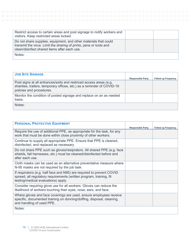| Restrict access to certain areas and post signage to notify workers and<br>visitors. Keep restricted areas locked.                                                                     |  |
|----------------------------------------------------------------------------------------------------------------------------------------------------------------------------------------|--|
| Do not share supplies, equipment, and other materials that could<br>transmit the virus. Limit the sharing of prints, pens or tools and<br>clean/disinfect shared items after each use. |  |
| Notes:                                                                                                                                                                                 |  |

| <b>JOB SITE SIGNAGE</b>                                                                                                                                                  |                          |                            |
|--------------------------------------------------------------------------------------------------------------------------------------------------------------------------|--------------------------|----------------------------|
|                                                                                                                                                                          | <b>Responsible Party</b> | <b>Follow up Frequency</b> |
| Post signs at all entrances/exits and restriced access areas (e.g.<br>shanties, trailers, temporary offices, etc.) as a reminder of COVID-19<br>policies and procedures. |                          |                            |
| Monitor the condition of posted signage and replace on an as needed<br>basis.                                                                                            |                          |                            |
| Notes:                                                                                                                                                                   |                          |                            |

| <b>PERSONAL PROTECTIVE EQUIPMENT</b>                                                                                                                                                |                          |                            |
|-------------------------------------------------------------------------------------------------------------------------------------------------------------------------------------|--------------------------|----------------------------|
|                                                                                                                                                                                     | <b>Responsible Party</b> | <b>Follow up Frequency</b> |
| Require the use of additional PPE, as appropriate for the task, for any<br>work that must be done within close proximity of other workers.                                          |                          |                            |
| Continue to supply all appropriate PPE. Ensure that PPE is cleaned,<br>disinfected, and replaced as necessary.                                                                      |                          |                            |
| Do not share PPE such as gloves/resiprators. All shared PPE (e.g. face<br>shields, fall harnesses, etc.) must be cleaned/disinfected before and<br>after each use.                  |                          |                            |
| Cloth masks can be used as an alternative preventative measure where<br>N-95 masks are not required by the job task.                                                                |                          |                            |
| If respirators (e.g. half face and N95) are required to prevent COVID<br>spread, all regulatory requirements (written program, training, fit<br>testing/medical evaluations) apply. |                          |                            |
| Consider requiring glove use for all workers. Gloves can reduce the<br>likelihood of workers touching their eyes, nose, ears, and face.                                             |                          |                            |
| Where gloves and face coverings are used, ensure employees receive<br>specific, documented training on donning/doffing, disposal, cleaning,<br>and handling of used PPE.            |                          |                            |
| Notes:                                                                                                                                                                              |                          |                            |